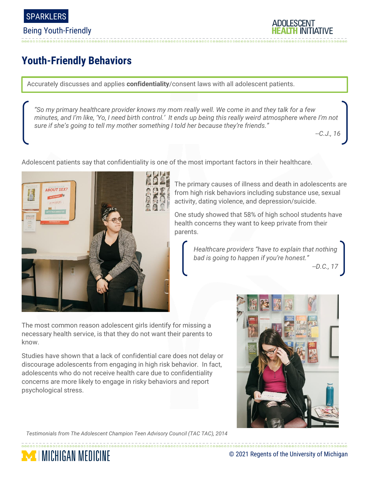

Being Youth-Friendly

**ADOLESCENT** 

## **Youth-Friendly Behaviors**

Accurately discusses and applies **confidentiality**/consent laws with all adolescent patients.

*"So my primary healthcare provider knows my mom really well. We come in and they talk for a few minutes, and I'm like, 'Yo, I need birth control.' It ends up being this really weird atmosphere where I'm not sure if she's going to tell my mother something I told her because they're friends."*

*--C.J., 16*



Adolescent patients say that confidentiality is one of the most important factors in their healthcare.

The primary causes of illness and death in adolescents are from high risk behaviors including substance use, sexual activity, dating violence, and depression/suicide.

One study showed that 58% of high school students have health concerns they want to keep private from their parents.

*Healthcare providers "have to explain that nothing bad is going to happen if you're honest."*

*--D.C., 17*

The most common reason adolescent girls identify for missing a necessary health service, is that they do not want their parents to know.

Studies have shown that a lack of confidential care does not delay or discourage adolescents from engaging in high risk behavior. In fact, adolescents who do not receive health care due to confidentiality concerns are more likely to engage in risky behaviors and report psychological stress.



**MICHIGAN MEDICINE** 

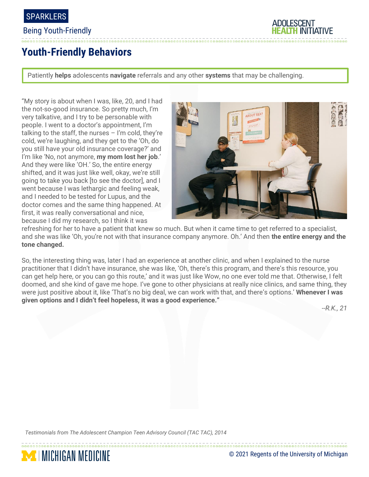

#### Being Youth-Friendly



## **Youth-Friendly Behaviors**

Patiently **helps** adolescents **navigate** referrals and any other **systems** that may be challenging.

"My story is about when I was, like, 20, and I had the not-so-good insurance. So pretty much, I'm very talkative, and I try to be personable with people. I went to a doctor's appointment, I'm talking to the staff, the nurses – I'm cold, they're cold, we're laughing, and they get to the 'Oh, do you still have your old insurance coverage?' and I'm like 'No, not anymore, **my mom lost her job**.' And they were like 'OH.' So, the entire energy shifted, and it was just like well, okay, we're still going to take you back [to see the doctor], and I went because I was lethargic and feeling weak, and I needed to be tested for Lupus, and the doctor comes and the same thing happened. At first, it was really conversational and nice, because I did my research, so I think it was



refreshing for her to have a patient that knew so much. But when it came time to get referred to a specialist, and she was like 'Oh, you're not with that insurance company anymore. Oh.' And then **the entire energy and the tone changed.**

So, the interesting thing was, later I had an experience at another clinic, and when I explained to the nurse practitioner that I didn't have insurance, she was like, 'Oh, there's this program, and there's this resource, you can get help here, or you can go this route,' and it was just like Wow, no one ever told me that. Otherwise, I felt doomed, and she kind of gave me hope. I've gone to other physicians at really nice clinics, and same thing, they were just positive about it, like 'That's no big deal, we can work with that, and there's options.' **Whenever I was given options and I didn't feel hopeless, it was a good experience."** 

*--R.K., 21*

*Testimonials from The Adolescent Champion Teen Advisory Council (TAC TAC), 2014*

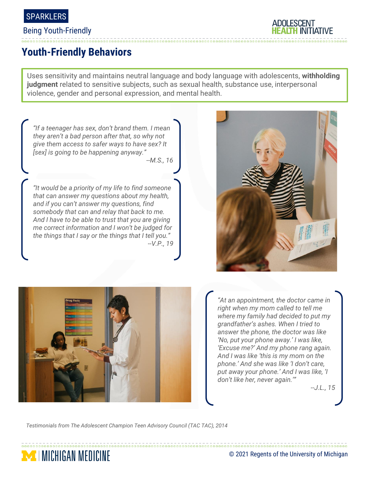

#### Being Youth-Friendly



## **Youth-Friendly Behaviors**

Uses sensitivity and maintains neutral language and body language with adolescents, **withholding judgment** related to sensitive subjects, such as sexual health, substance use, interpersonal violence, gender and personal expression, and mental health.



*--J.L., 15*

*Testimonials from The Adolescent Champion Teen Advisory Council (TAC TAC), 2014*